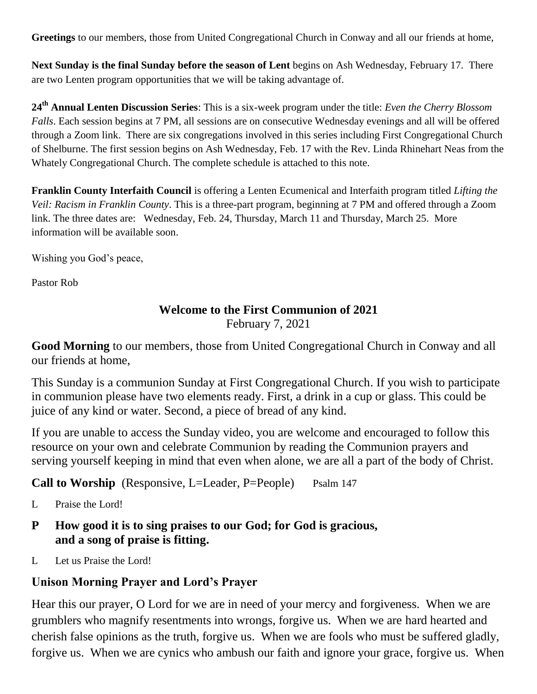**Greetings** to our members, those from United Congregational Church in Conway and all our friends at home,

**Next Sunday is the final Sunday before the season of Lent** begins on Ash Wednesday, February 17. There are two Lenten program opportunities that we will be taking advantage of.

**24th Annual Lenten Discussion Series**: This is a six-week program under the title: *Even the Cherry Blossom Falls*. Each session begins at 7 PM, all sessions are on consecutive Wednesday evenings and all will be offered through a Zoom link. There are six congregations involved in this series including First Congregational Church of Shelburne. The first session begins on Ash Wednesday, Feb. 17 with the Rev. Linda Rhinehart Neas from the Whately Congregational Church. The complete schedule is attached to this note.

**Franklin County Interfaith Council** is offering a Lenten Ecumenical and Interfaith program titled *Lifting the Veil: Racism in Franklin County*. This is a three-part program, beginning at 7 PM and offered through a Zoom link. The three dates are: Wednesday, Feb. 24, Thursday, March 11 and Thursday, March 25. More information will be available soon.

Wishing you God's peace,

Pastor Rob

#### **Welcome to the First Communion of 2021** February 7, 2021

**Good Morning** to our members, those from United Congregational Church in Conway and all our friends at home,

This Sunday is a communion Sunday at First Congregational Church. If you wish to participate in communion please have two elements ready. First, a drink in a cup or glass. This could be juice of any kind or water. Second, a piece of bread of any kind.

If you are unable to access the Sunday video, you are welcome and encouraged to follow this resource on your own and celebrate Communion by reading the Communion prayers and serving yourself keeping in mind that even when alone, we are all a part of the body of Christ.

**Call to Worship** (Responsive, L=Leader, P=People) Psalm 147

L Praise the Lord!

- **P How good it is to sing praises to our God; for God is gracious, and a song of praise is fitting.**
- L Let us Praise the Lord!

# **Unison Morning Prayer and Lord's Prayer**

Hear this our prayer, O Lord for we are in need of your mercy and forgiveness. When we are grumblers who magnify resentments into wrongs, forgive us. When we are hard hearted and cherish false opinions as the truth, forgive us. When we are fools who must be suffered gladly, forgive us. When we are cynics who ambush our faith and ignore your grace, forgive us. When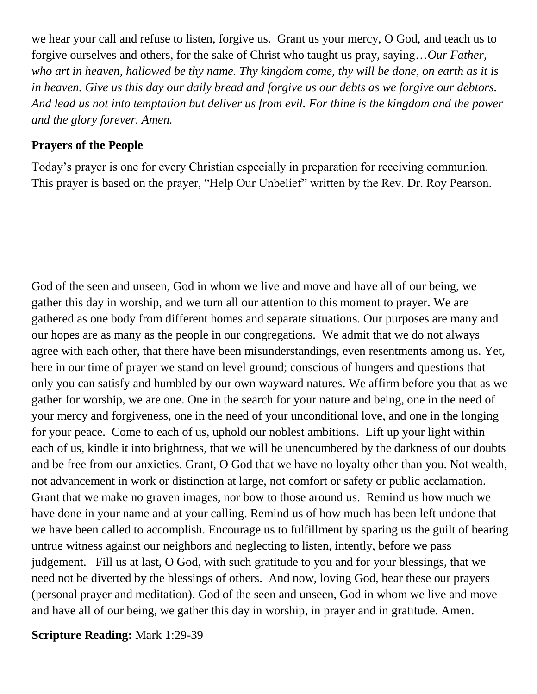we hear your call and refuse to listen, forgive us. Grant us your mercy, O God, and teach us to forgive ourselves and others, for the sake of Christ who taught us pray, saying…*Our Father, who art in heaven, hallowed be thy name. Thy kingdom come, thy will be done, on earth as it is in heaven. Give us this day our daily bread and forgive us our debts as we forgive our debtors. And lead us not into temptation but deliver us from evil. For thine is the kingdom and the power and the glory forever. Amen.*

#### **Prayers of the People**

Today's prayer is one for every Christian especially in preparation for receiving communion. This prayer is based on the prayer, "Help Our Unbelief" written by the Rev. Dr. Roy Pearson.

God of the seen and unseen, God in whom we live and move and have all of our being, we gather this day in worship, and we turn all our attention to this moment to prayer. We are gathered as one body from different homes and separate situations. Our purposes are many and our hopes are as many as the people in our congregations. We admit that we do not always agree with each other, that there have been misunderstandings, even resentments among us. Yet, here in our time of prayer we stand on level ground; conscious of hungers and questions that only you can satisfy and humbled by our own wayward natures. We affirm before you that as we gather for worship, we are one. One in the search for your nature and being, one in the need of your mercy and forgiveness, one in the need of your unconditional love, and one in the longing for your peace. Come to each of us, uphold our noblest ambitions. Lift up your light within each of us, kindle it into brightness, that we will be unencumbered by the darkness of our doubts and be free from our anxieties. Grant, O God that we have no loyalty other than you. Not wealth, not advancement in work or distinction at large, not comfort or safety or public acclamation. Grant that we make no graven images, nor bow to those around us. Remind us how much we have done in your name and at your calling. Remind us of how much has been left undone that we have been called to accomplish. Encourage us to fulfillment by sparing us the guilt of bearing untrue witness against our neighbors and neglecting to listen, intently, before we pass judgement. Fill us at last, O God, with such gratitude to you and for your blessings, that we need not be diverted by the blessings of others. And now, loving God, hear these our prayers (personal prayer and meditation). God of the seen and unseen, God in whom we live and move and have all of our being, we gather this day in worship, in prayer and in gratitude. Amen.

**Scripture Reading:** Mark 1:29-39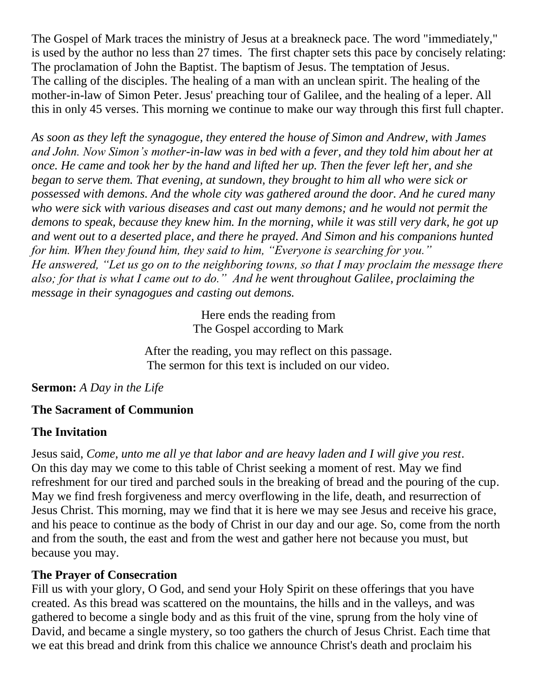The Gospel of Mark traces the ministry of Jesus at a breakneck pace. The word "immediately," is used by the author no less than 27 times. The first chapter sets this pace by concisely relating: The proclamation of John the Baptist. The baptism of Jesus. The temptation of Jesus. The calling of the disciples. The healing of a man with an unclean spirit. The healing of the mother-in-law of Simon Peter. Jesus' preaching tour of Galilee, and the healing of a leper. All this in only 45 verses. This morning we continue to make our way through this first full chapter.

*As soon as they left the synagogue, they entered the house of Simon and Andrew, with James and John. Now Simon's mother-in-law was in bed with a fever, and they told him about her at once. He came and took her by the hand and lifted her up. Then the fever left her, and she began to serve them. That evening, at sundown, they brought to him all who were sick or possessed with demons. And the whole city was gathered around the door. And he cured many who were sick with various diseases and cast out many demons; and he would not permit the demons to speak, because they knew him. In the morning, while it was still very dark, he got up and went out to a deserted place, and there he prayed. And Simon and his companions hunted for him. When they found him, they said to him, "Everyone is searching for you." He answered, "Let us go on to the neighboring towns, so that I may proclaim the message there also; for that is what I came out to do." And he went throughout Galilee, proclaiming the message in their synagogues and casting out demons.*

> Here ends the reading from The Gospel according to Mark

After the reading, you may reflect on this passage. The sermon for this text is included on our video.

### **Sermon:** *A Day in the Life*

### **The Sacrament of Communion**

### **The Invitation**

Jesus said, *Come, unto me all ye that labor and are heavy laden and I will give you rest*. On this day may we come to this table of Christ seeking a moment of rest. May we find refreshment for our tired and parched souls in the breaking of bread and the pouring of the cup. May we find fresh forgiveness and mercy overflowing in the life, death, and resurrection of Jesus Christ. This morning, may we find that it is here we may see Jesus and receive his grace, and his peace to continue as the body of Christ in our day and our age. So, come from the north and from the south, the east and from the west and gather here not because you must, but because you may.

### **The Prayer of Consecration**

Fill us with your glory, O God, and send your Holy Spirit on these offerings that you have created. As this bread was scattered on the mountains, the hills and in the valleys, and was gathered to become a single body and as this fruit of the vine, sprung from the holy vine of David, and became a single mystery, so too gathers the church of Jesus Christ. Each time that we eat this bread and drink from this chalice we announce Christ's death and proclaim his